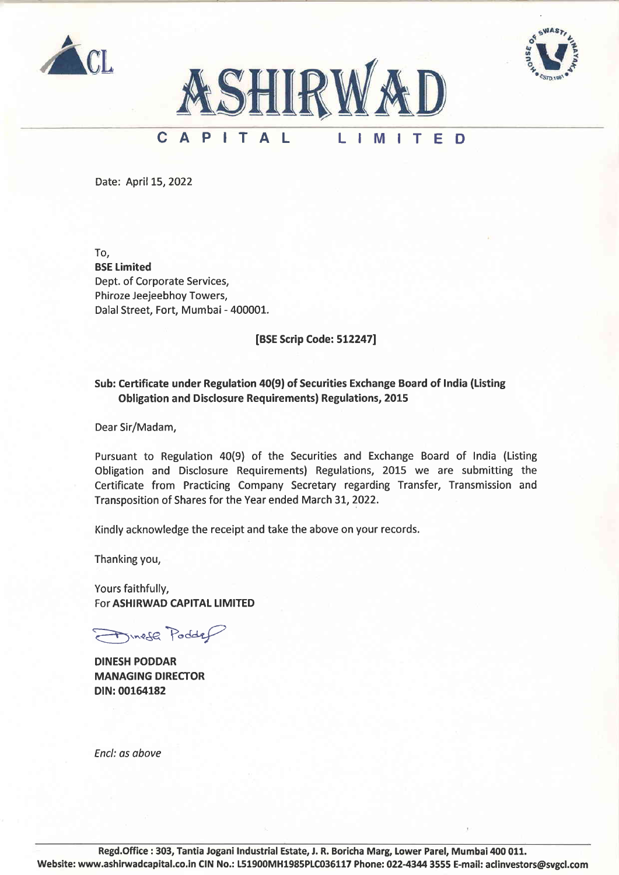





## CAPIT A IM<sub>IT</sub> L F D

Date: April 15, 2022

To, BSE Limited Dept. of Corporate Services, Phiroze Jeejeebhoy Towers, Dalal Street, Fort, Mumbai - 400001.

[BSE Scrip Code: 5L22471

## Sub: Certificate under Regulation 40(9) of Securities Exchange Board of India (Listing Obligation and Disclosure Requirements| Regulations, 20L5

Dear Sir/Madam,

Pursuant to Regulation 40(9) of the Securities and Exchange Board of India (Listing Obligation and Disclosure Requirements) Regulations, 2OL5 we are submitting the Certificate from Practicing Company Secretary regarding Transfer, Transmission and Transposition of Shares for the Year ended March 31,2022.

Kindly acknowledge the receipt and take the above on your records.

Thanking you,

Yours faithfully, For ASHIRWAD CAPITAL LIMITED

 $\mathcal{F}_{\text{Mne}}$  Podder

DINESH PODDAR MANAGING DIRECTOR DIN:00164182

Encl: as above